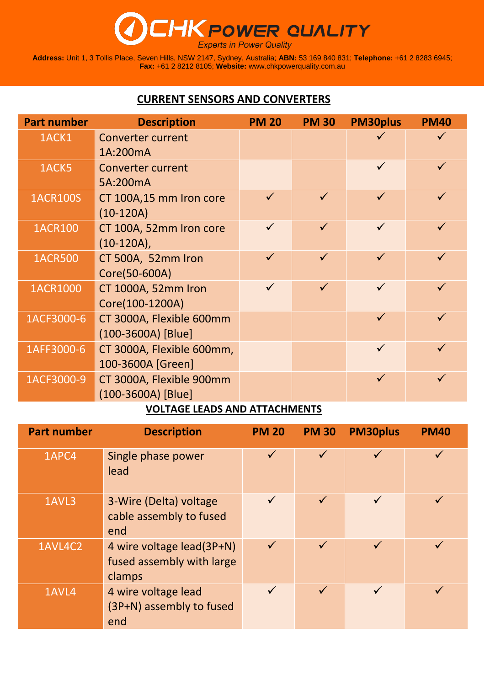## **THK POWER QUALITY**

**Address:** Unit 1, 3 Tollis Place, Seven Hills, NSW 2147, Sydney, Australia; **ABN:** 53 169 840 831; **Telephone:** +61 2 8283 6945; **Fax:** +61 2 8212 8105; **Website:** [www.chkpowerquality.com.au](http://www.chkpowerquality.com.au/)

## **CURRENT SENSORS AND CONVERTERS**

| <b>Part number</b> | <b>Description</b>        | <b>PM 20</b> | <b>PM 30</b> | <b>PM30plus</b> | <b>PM40</b> |
|--------------------|---------------------------|--------------|--------------|-----------------|-------------|
| 1ACK1              | <b>Converter current</b>  |              |              |                 |             |
|                    | 1A:200mA                  |              |              |                 |             |
| 1ACK5              | <b>Converter current</b>  |              |              | $\checkmark$    |             |
|                    | 5A:200mA                  |              |              |                 |             |
| <b>1ACR100S</b>    | CT 100A,15 mm Iron core   | $\checkmark$ |              | $\checkmark$    |             |
|                    | $(10-120A)$               |              |              |                 |             |
| <b>1ACR100</b>     | CT 100A, 52mm Iron core   |              |              | $\checkmark$    |             |
|                    | $(10-120A)$ ,             |              |              |                 |             |
| <b>1ACR500</b>     | CT 500A, 52mm Iron        | $\checkmark$ | $\checkmark$ | $\checkmark$    |             |
|                    | Core(50-600A)             |              |              |                 |             |
| 1ACR1000           | CT 1000A, 52mm Iron       | $\checkmark$ | $\checkmark$ | $\checkmark$    |             |
|                    | Core(100-1200A)           |              |              |                 |             |
| 1ACF3000-6         | CT 3000A, Flexible 600mm  |              |              | $\checkmark$    |             |
|                    | $(100-3600A)$ [Blue]      |              |              |                 |             |
| 1AFF3000-6         | CT 3000A, Flexible 600mm, |              |              | $\checkmark$    |             |
|                    | 100-3600A [Green]         |              |              |                 |             |
| 1ACF3000-9         | CT 3000A, Flexible 900mm  |              |              | $\checkmark$    |             |
|                    | (100-3600A) [Blue]        |              |              |                 |             |

## **VOLTAGE LEADS AND ATTACHMENTS**

| <b>Part number</b> | <b>Description</b>                                               | <b>PM 20</b> | <b>PM 30</b> | <b>PM30plus</b> | <b>PM40</b>  |
|--------------------|------------------------------------------------------------------|--------------|--------------|-----------------|--------------|
| 1APC4              | Single phase power<br>lead                                       | $\checkmark$ | $\checkmark$ | $\checkmark$    | $\checkmark$ |
| 1AVL3              | 3-Wire (Delta) voltage<br>cable assembly to fused<br>end         | $\checkmark$ | $\checkmark$ | $\checkmark$    | $\checkmark$ |
| 1AVL4C2            | 4 wire voltage lead(3P+N)<br>fused assembly with large<br>clamps | $\checkmark$ | $\checkmark$ | $\checkmark$    | $\checkmark$ |
| 1AVL4              | 4 wire voltage lead<br>(3P+N) assembly to fused<br>end           | $\checkmark$ | $\checkmark$ | $\checkmark$    | $\checkmark$ |